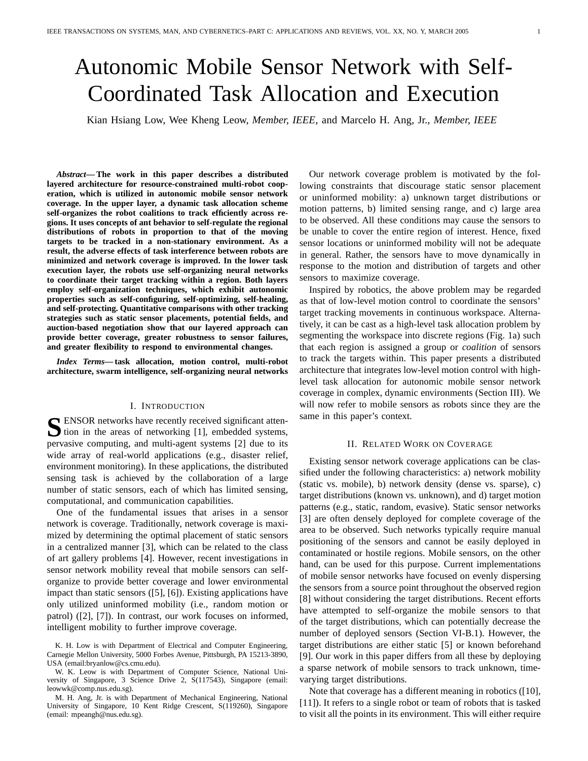# Autonomic Mobile Sensor Network with Self-Coordinated Task Allocation and Execution

Kian Hsiang Low, Wee Kheng Leow, *Member, IEEE*, and Marcelo H. Ang, Jr., *Member, IEEE*

*Abstract***— The work in this paper describes a distributed layered architecture for resource-constrained multi-robot cooperation, which is utilized in autonomic mobile sensor network coverage. In the upper layer, a dynamic task allocation scheme self-organizes the robot coalitions to track efficiently across regions. It uses concepts of ant behavior to self-regulate the regional distributions of robots in proportion to that of the moving targets to be tracked in a non-stationary environment. As a result, the adverse effects of task interference between robots are minimized and network coverage is improved. In the lower task execution layer, the robots use self-organizing neural networks to coordinate their target tracking within a region. Both layers employ self-organization techniques, which exhibit autonomic properties such as self-configuring, self-optimizing, self-healing, and self-protecting. Quantitative comparisons with other tracking strategies such as static sensor placements, potential fields, and auction-based negotiation show that our layered approach can provide better coverage, greater robustness to sensor failures, and greater flexibility to respond to environmental changes.**

*Index Terms***— task allocation, motion control, multi-robot architecture, swarm intelligence, self-organizing neural networks**

## I. INTRODUCTION

SENSOR networks have recently received significant attention in the areas of networking [1], embedded systems,  $\sum$  tion in the areas of networking [1], embedded systems, pervasive computing, and multi-agent systems [2] due to its wide array of real-world applications (e.g., disaster relief, environment monitoring). In these applications, the distributed sensing task is achieved by the collaboration of a large number of static sensors, each of which has limited sensing, computational, and communication capabilities.

One of the fundamental issues that arises in a sensor network is coverage. Traditionally, network coverage is maximized by determining the optimal placement of static sensors in a centralized manner [3], which can be related to the class of art gallery problems [4]. However, recent investigations in sensor network mobility reveal that mobile sensors can selforganize to provide better coverage and lower environmental impact than static sensors ([5], [6]). Existing applications have only utilized uninformed mobility (i.e., random motion or patrol) ([2], [7]). In contrast, our work focuses on informed, intelligent mobility to further improve coverage.

Our network coverage problem is motivated by the following constraints that discourage static sensor placement or uninformed mobility: a) unknown target distributions or motion patterns, b) limited sensing range, and c) large area to be observed. All these conditions may cause the sensors to be unable to cover the entire region of interest. Hence, fixed sensor locations or uninformed mobility will not be adequate in general. Rather, the sensors have to move dynamically in response to the motion and distribution of targets and other sensors to maximize coverage.

Inspired by robotics, the above problem may be regarded as that of low-level motion control to coordinate the sensors' target tracking movements in continuous workspace. Alternatively, it can be cast as a high-level task allocation problem by segmenting the workspace into discrete regions (Fig. 1a) such that each region is assigned a group or *coalition* of sensors to track the targets within. This paper presents a distributed architecture that integrates low-level motion control with highlevel task allocation for autonomic mobile sensor network coverage in complex, dynamic environments (Section III). We will now refer to mobile sensors as robots since they are the same in this paper's context.

## II. RELATED WORK ON COVERAGE

Existing sensor network coverage applications can be classified under the following characteristics: a) network mobility (static vs. mobile), b) network density (dense vs. sparse), c) target distributions (known vs. unknown), and d) target motion patterns (e.g., static, random, evasive). Static sensor networks [3] are often densely deployed for complete coverage of the area to be observed. Such networks typically require manual positioning of the sensors and cannot be easily deployed in contaminated or hostile regions. Mobile sensors, on the other hand, can be used for this purpose. Current implementations of mobile sensor networks have focused on evenly dispersing the sensors from a source point throughout the observed region [8] without considering the target distributions. Recent efforts have attempted to self-organize the mobile sensors to that of the target distributions, which can potentially decrease the number of deployed sensors (Section VI-B.1). However, the target distributions are either static [5] or known beforehand [9]. Our work in this paper differs from all these by deploying a sparse network of mobile sensors to track unknown, timevarying target distributions.

Note that coverage has a different meaning in robotics ([10], [11]). It refers to a single robot or team of robots that is tasked to visit all the points in its environment. This will either require

K. H. Low is with Department of Electrical and Computer Engineering, Carnegie Mellon University, 5000 Forbes Avenue, Pittsburgh, PA 15213-3890, USA (email:bryanlow@cs.cmu.edu).

W. K. Leow is with Department of Computer Science, National University of Singapore, 3 Science Drive 2, S(117543), Singapore (email: leowwk@comp.nus.edu.sg).

M. H. Ang, Jr. is with Department of Mechanical Engineering, National University of Singapore, 10 Kent Ridge Crescent, S(119260), Singapore (email: mpeangh@nus.edu.sg).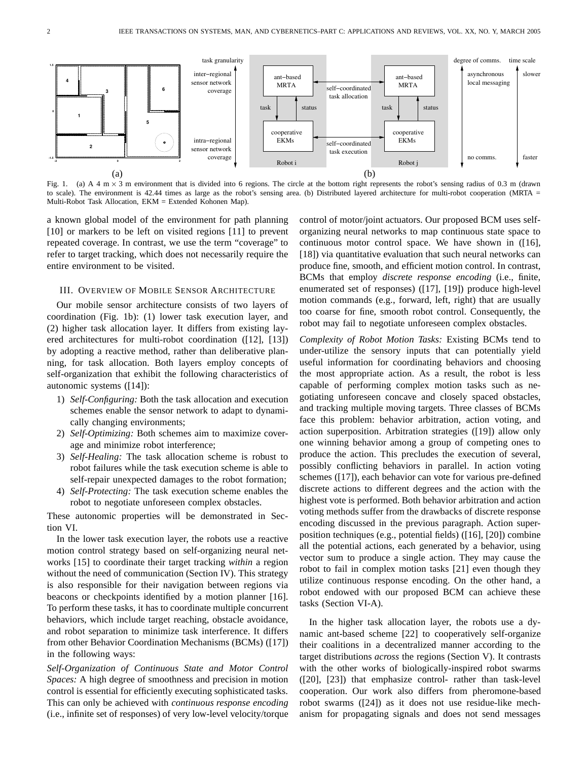

Fig. 1. (a) A 4 m  $\times$  3 m environment that is divided into 6 regions. The circle at the bottom right represents the robot's sensing radius of 0.3 m (drawn to scale). The environment is 42.44 times as large as the robot's sensing area. (b) Distributed layered architecture for multi-robot cooperation (MRTA = Multi-Robot Task Allocation, EKM = Extended Kohonen Map).

a known global model of the environment for path planning [10] or markers to be left on visited regions [11] to prevent repeated coverage. In contrast, we use the term "coverage" to refer to target tracking, which does not necessarily require the entire environment to be visited.

#### III. OVERVIEW OF MOBILE SENSOR ARCHITECTURE

Our mobile sensor architecture consists of two layers of coordination (Fig. 1b): (1) lower task execution layer, and (2) higher task allocation layer. It differs from existing layered architectures for multi-robot coordination ([12], [13]) by adopting a reactive method, rather than deliberative planning, for task allocation. Both layers employ concepts of self-organization that exhibit the following characteristics of autonomic systems ([14]):

- 1) *Self-Configuring:* Both the task allocation and execution schemes enable the sensor network to adapt to dynamically changing environments;
- 2) *Self-Optimizing:* Both schemes aim to maximize coverage and minimize robot interference;
- 3) *Self-Healing:* The task allocation scheme is robust to robot failures while the task execution scheme is able to self-repair unexpected damages to the robot formation;
- 4) *Self-Protecting:* The task execution scheme enables the robot to negotiate unforeseen complex obstacles.

These autonomic properties will be demonstrated in Section VI.

In the lower task execution layer, the robots use a reactive motion control strategy based on self-organizing neural networks [15] to coordinate their target tracking *within* a region without the need of communication (Section IV). This strategy is also responsible for their navigation between regions via beacons or checkpoints identified by a motion planner [16]. To perform these tasks, it has to coordinate multiple concurrent behaviors, which include target reaching, obstacle avoidance, and robot separation to minimize task interference. It differs from other Behavior Coordination Mechanisms (BCMs) ([17]) in the following ways:

*Self-Organization of Continuous State and Motor Control Spaces:* A high degree of smoothness and precision in motion control is essential for efficiently executing sophisticated tasks. This can only be achieved with *continuous response encoding* (i.e., infinite set of responses) of very low-level velocity/torque control of motor/joint actuators. Our proposed BCM uses selforganizing neural networks to map continuous state space to continuous motor control space. We have shown in ([16], [18]) via quantitative evaluation that such neural networks can produce fine, smooth, and efficient motion control. In contrast, BCMs that employ *discrete response encoding* (i.e., finite, enumerated set of responses) ([17], [19]) produce high-level motion commands (e.g., forward, left, right) that are usually too coarse for fine, smooth robot control. Consequently, the robot may fail to negotiate unforeseen complex obstacles.

*Complexity of Robot Motion Tasks:* Existing BCMs tend to under-utilize the sensory inputs that can potentially yield useful information for coordinating behaviors and choosing the most appropriate action. As a result, the robot is less capable of performing complex motion tasks such as negotiating unforeseen concave and closely spaced obstacles, and tracking multiple moving targets. Three classes of BCMs face this problem: behavior arbitration, action voting, and action superposition. Arbitration strategies ([19]) allow only one winning behavior among a group of competing ones to produce the action. This precludes the execution of several, possibly conflicting behaviors in parallel. In action voting schemes ([17]), each behavior can vote for various pre-defined discrete actions to different degrees and the action with the highest vote is performed. Both behavior arbitration and action voting methods suffer from the drawbacks of discrete response encoding discussed in the previous paragraph. Action superposition techniques (e.g., potential fields) ([16], [20]) combine all the potential actions, each generated by a behavior, using vector sum to produce a single action. They may cause the robot to fail in complex motion tasks [21] even though they utilize continuous response encoding. On the other hand, a robot endowed with our proposed BCM can achieve these tasks (Section VI-A).

In the higher task allocation layer, the robots use a dynamic ant-based scheme [22] to cooperatively self-organize their coalitions in a decentralized manner according to the target distributions *across* the regions (Section V). It contrasts with the other works of biologically-inspired robot swarms ([20], [23]) that emphasize control- rather than task-level cooperation. Our work also differs from pheromone-based robot swarms ([24]) as it does not use residue-like mechanism for propagating signals and does not send messages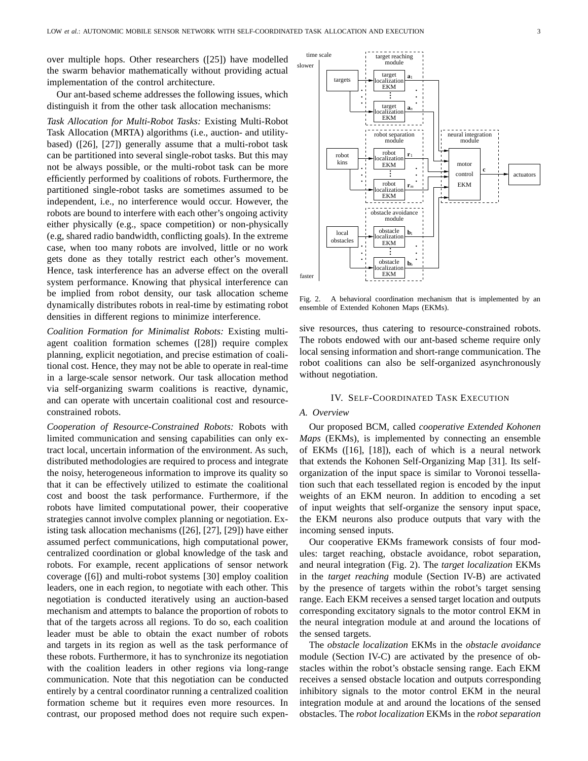over multiple hops. Other researchers ([25]) have modelled the swarm behavior mathematically without providing actual implementation of the control architecture.

Our ant-based scheme addresses the following issues, which distinguish it from the other task allocation mechanisms:

*Task Allocation for Multi-Robot Tasks:* Existing Multi-Robot Task Allocation (MRTA) algorithms (i.e., auction- and utilitybased) ([26], [27]) generally assume that a multi-robot task can be partitioned into several single-robot tasks. But this may not be always possible, or the multi-robot task can be more efficiently performed by coalitions of robots. Furthermore, the partitioned single-robot tasks are sometimes assumed to be independent, i.e., no interference would occur. However, the robots are bound to interfere with each other's ongoing activity either physically (e.g., space competition) or non-physically (e.g, shared radio bandwidth, conflicting goals). In the extreme case, when too many robots are involved, little or no work gets done as they totally restrict each other's movement. Hence, task interference has an adverse effect on the overall system performance. Knowing that physical interference can be implied from robot density, our task allocation scheme dynamically distributes robots in real-time by estimating robot densities in different regions to minimize interference.

*Coalition Formation for Minimalist Robots:* Existing multiagent coalition formation schemes ([28]) require complex planning, explicit negotiation, and precise estimation of coalitional cost. Hence, they may not be able to operate in real-time in a large-scale sensor network. Our task allocation method via self-organizing swarm coalitions is reactive, dynamic, and can operate with uncertain coalitional cost and resourceconstrained robots.

*Cooperation of Resource-Constrained Robots:* Robots with limited communication and sensing capabilities can only extract local, uncertain information of the environment. As such, distributed methodologies are required to process and integrate the noisy, heterogeneous information to improve its quality so that it can be effectively utilized to estimate the coalitional cost and boost the task performance. Furthermore, if the robots have limited computational power, their cooperative strategies cannot involve complex planning or negotiation. Existing task allocation mechanisms ([26], [27], [29]) have either assumed perfect communications, high computational power, centralized coordination or global knowledge of the task and robots. For example, recent applications of sensor network coverage ([6]) and multi-robot systems [30] employ coalition leaders, one in each region, to negotiate with each other. This negotiation is conducted iteratively using an auction-based mechanism and attempts to balance the proportion of robots to that of the targets across all regions. To do so, each coalition leader must be able to obtain the exact number of robots and targets in its region as well as the task performance of these robots. Furthermore, it has to synchronize its negotiation with the coalition leaders in other regions via long-range communication. Note that this negotiation can be conducted entirely by a central coordinator running a centralized coalition formation scheme but it requires even more resources. In contrast, our proposed method does not require such expen-



Fig. 2. A behavioral coordination mechanism that is implemented by an ensemble of Extended Kohonen Maps (EKMs).

sive resources, thus catering to resource-constrained robots. The robots endowed with our ant-based scheme require only local sensing information and short-range communication. The robot coalitions can also be self-organized asynchronously without negotiation.

## IV. SELF-COORDINATED TASK EXECUTION

# *A. Overview*

Our proposed BCM, called *cooperative Extended Kohonen Maps* (EKMs), is implemented by connecting an ensemble of EKMs ([16], [18]), each of which is a neural network that extends the Kohonen Self-Organizing Map [31]. Its selforganization of the input space is similar to Voronoi tessellation such that each tessellated region is encoded by the input weights of an EKM neuron. In addition to encoding a set of input weights that self-organize the sensory input space, the EKM neurons also produce outputs that vary with the incoming sensed inputs.

Our cooperative EKMs framework consists of four modules: target reaching, obstacle avoidance, robot separation, and neural integration (Fig. 2). The *target localization* EKMs in the *target reaching* module (Section IV-B) are activated by the presence of targets within the robot's target sensing range. Each EKM receives a sensed target location and outputs corresponding excitatory signals to the motor control EKM in the neural integration module at and around the locations of the sensed targets.

The *obstacle localization* EKMs in the *obstacle avoidance* module (Section IV-C) are activated by the presence of obstacles within the robot's obstacle sensing range. Each EKM receives a sensed obstacle location and outputs corresponding inhibitory signals to the motor control EKM in the neural integration module at and around the locations of the sensed obstacles. The *robot localization* EKMs in the *robot separation*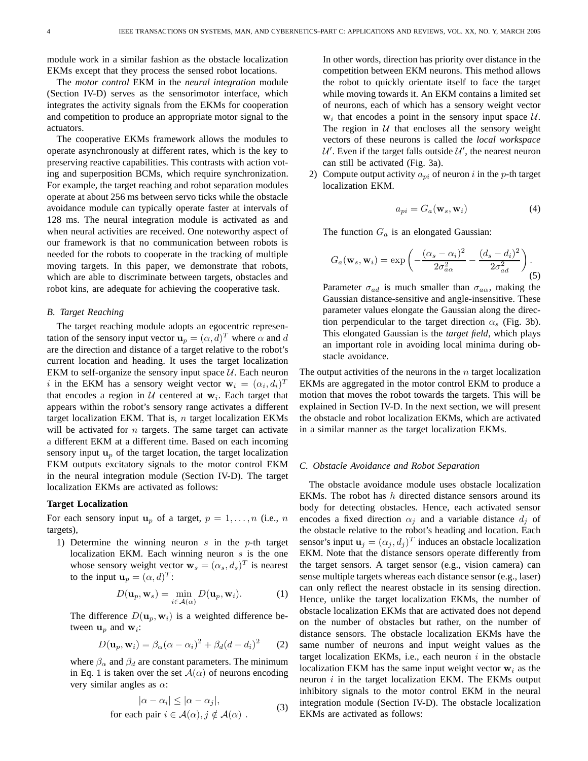module work in a similar fashion as the obstacle localization EKMs except that they process the sensed robot locations.

The *motor control* EKM in the *neural integration* module (Section IV-D) serves as the sensorimotor interface, which integrates the activity signals from the EKMs for cooperation and competition to produce an appropriate motor signal to the actuators.

The cooperative EKMs framework allows the modules to operate asynchronously at different rates, which is the key to preserving reactive capabilities. This contrasts with action voting and superposition BCMs, which require synchronization. For example, the target reaching and robot separation modules operate at about 256 ms between servo ticks while the obstacle avoidance module can typically operate faster at intervals of 128 ms. The neural integration module is activated as and when neural activities are received. One noteworthy aspect of our framework is that no communication between robots is needed for the robots to cooperate in the tracking of multiple moving targets. In this paper, we demonstrate that robots, which are able to discriminate between targets, obstacles and robot kins, are adequate for achieving the cooperative task.

# *B. Target Reaching*

The target reaching module adopts an egocentric representation of the sensory input vector  $\mathbf{u}_p = (\alpha, d)^T$  where  $\alpha$  and  $d$ are the direction and distance of a target relative to the robot's current location and heading. It uses the target localization EKM to self-organize the sensory input space  $U$ . Each neuron i in the EKM has a sensory weight vector  $\mathbf{w}_i = (\alpha_i, d_i)^T$ that encodes a region in  $U$  centered at  $w_i$ . Each target that appears within the robot's sensory range activates a different target localization EKM. That is,  $n$  target localization EKMs will be activated for  $n$  targets. The same target can activate a different EKM at a different time. Based on each incoming sensory input  $\mathbf{u}_p$  of the target location, the target localization EKM outputs excitatory signals to the motor control EKM in the neural integration module (Section IV-D). The target localization EKMs are activated as follows:

#### **Target Localization**

For each sensory input  $u_p$  of a target,  $p = 1, \ldots, n$  (i.e., n targets),

1) Determine the winning neuron  $s$  in the  $p$ -th target localization EKM. Each winning neuron  $s$  is the one whose sensory weight vector  $\mathbf{w}_s = (\alpha_s, d_s)^T$  is nearest to the input  $\mathbf{u}_p = (\alpha, d)^T$ :

$$
D(\mathbf{u}_p, \mathbf{w}_s) = \min_{i \in \mathcal{A}(\alpha)} D(\mathbf{u}_p, \mathbf{w}_i).
$$
 (1)

The difference  $D(\mathbf{u}_p, \mathbf{w}_i)$  is a weighted difference between  $\mathbf{u}_p$  and  $\mathbf{w}_i$ :

$$
D(\mathbf{u}_p, \mathbf{w}_i) = \beta_\alpha (\alpha - \alpha_i)^2 + \beta_d (d - d_i)^2 \qquad (2)
$$

where  $\beta_{\alpha}$  and  $\beta_d$  are constant parameters. The minimum in Eq. 1 is taken over the set  $A(\alpha)$  of neurons encoding very similar angles as  $\alpha$ :

$$
|\alpha - \alpha_i| \le |\alpha - \alpha_j|,
$$
  
for each pair  $i \in \mathcal{A}(\alpha), j \notin \mathcal{A}(\alpha)$ . (3)

In other words, direction has priority over distance in the competition between EKM neurons. This method allows the robot to quickly orientate itself to face the target while moving towards it. An EKM contains a limited set of neurons, each of which has a sensory weight vector  $w_i$  that encodes a point in the sensory input space  $U$ . The region in  $U$  that encloses all the sensory weight vectors of these neurons is called the *local workspace*  $U'$ . Even if the target falls outside  $U'$ , the nearest neuron can still be activated (Fig. 3a).

2) Compute output activity  $a_{pi}$  of neuron i in the p-th target localization EKM.

$$
a_{pi} = G_a(\mathbf{w}_s, \mathbf{w}_i)
$$
 (4)

The function  $G_a$  is an elongated Gaussian:

$$
G_a(\mathbf{w}_s, \mathbf{w}_i) = \exp\left(-\frac{(\alpha_s - \alpha_i)^2}{2\sigma_{a\alpha}^2} - \frac{(d_s - d_i)^2}{2\sigma_{ad}^2}\right).
$$
\n(5)

Parameter  $\sigma_{ad}$  is much smaller than  $\sigma_{a\alpha}$ , making the Gaussian distance-sensitive and angle-insensitive. These parameter values elongate the Gaussian along the direction perpendicular to the target direction  $\alpha_s$  (Fig. 3b). This elongated Gaussian is the *target field*, which plays an important role in avoiding local minima during obstacle avoidance.

The output activities of the neurons in the  $n$  target localization EKMs are aggregated in the motor control EKM to produce a motion that moves the robot towards the targets. This will be explained in Section IV-D. In the next section, we will present the obstacle and robot localization EKMs, which are activated in a similar manner as the target localization EKMs.

#### *C. Obstacle Avoidance and Robot Separation*

The obstacle avoidance module uses obstacle localization EKMs. The robot has  $h$  directed distance sensors around its body for detecting obstacles. Hence, each activated sensor encodes a fixed direction  $\alpha_i$  and a variable distance  $d_i$  of the obstacle relative to the robot's heading and location. Each sensor's input  $\mathbf{u}_j = (\alpha_j, d_j)^T$  induces an obstacle localization EKM. Note that the distance sensors operate differently from the target sensors. A target sensor (e.g., vision camera) can sense multiple targets whereas each distance sensor (e.g., laser) can only reflect the nearest obstacle in its sensing direction. Hence, unlike the target localization EKMs, the number of obstacle localization EKMs that are activated does not depend on the number of obstacles but rather, on the number of distance sensors. The obstacle localization EKMs have the same number of neurons and input weight values as the target localization EKMs, i.e., each neuron  $i$  in the obstacle localization EKM has the same input weight vector  $w_i$  as the neuron  $i$  in the target localization EKM. The EKMs output inhibitory signals to the motor control EKM in the neural integration module (Section IV-D). The obstacle localization EKMs are activated as follows: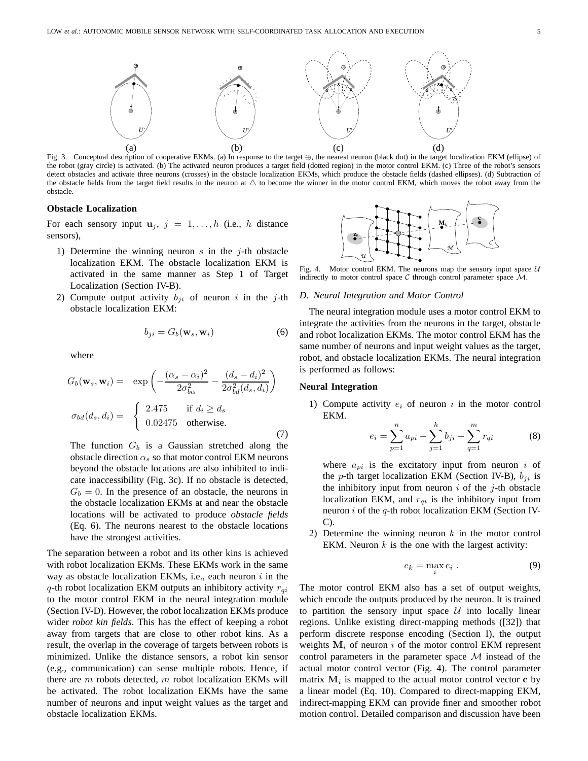

Fig. 3. Conceptual description of cooperative EKMs. (a) In response to the target ⊕, the nearest neuron (black dot) in the target localization EKM (ellipse) of the robot (gray circle) is activated. (b) The activated neuron produces a target field (dotted region) in the motor control EKM. (c) Three of the robot's sensors detect obstacles and activate three neurons (crosses) in the obstacle localization EKMs, which produce the obstacle fields (dashed ellipses). (d) Subtraction of the obstacle fields from the target field results in the neuron at  $\Delta$  to become the winner in the motor control EKM, which moves the robot away from the obstacle.

## **Obstacle Localization**

For each sensory input  $\mathbf{u}_j$ ,  $j = 1, \ldots, h$  (i.e., h distance sensors),

- 1) Determine the winning neuron  $s$  in the  $j$ -th obstacle localization EKM. The obstacle localization EKM is activated in the same manner as Step 1 of Target Localization (Section IV-B).
- 2) Compute output activity  $b_{ji}$  of neuron i in the j-th obstacle localization EKM:

$$
b_{ji} = G_b(\mathbf{w}_s, \mathbf{w}_i)
$$
 (6)

where

$$
G_b(\mathbf{w}_s, \mathbf{w}_i) = \exp\left(-\frac{(\alpha_s - \alpha_i)^2}{2\sigma_{b\alpha}^2} - \frac{(d_s - d_i)^2}{2\sigma_{bd}^2(d_s, d_i)}\right)
$$

$$
\sigma_{bd}(d_s, d_i) = \begin{cases} 2.475 & \text{if } d_i \ge d_s \\ 0.02475 & \text{otherwise.} \end{cases}
$$
(7)

The function  $G_b$  is a Gaussian stretched along the obstacle direction  $\alpha_s$  so that motor control EKM neurons beyond the obstacle locations are also inhibited to indicate inaccessibility (Fig. 3c). If no obstacle is detected,  $G_b = 0$ . In the presence of an obstacle, the neurons in the obstacle localization EKMs at and near the obstacle locations will be activated to produce *obstacle fields* (Eq. 6). The neurons nearest to the obstacle locations have the strongest activities.

The separation between a robot and its other kins is achieved with robot localization EKMs. These EKMs work in the same way as obstacle localization EKMs, i.e., each neuron  $i$  in the  $q$ -th robot localization EKM outputs an inhibitory activity  $r_{qi}$ to the motor control EKM in the neural integration module (Section IV-D). However, the robot localization EKMs produce wider *robot kin fields*. This has the effect of keeping a robot away from targets that are close to other robot kins. As a result, the overlap in the coverage of targets between robots is minimized. Unlike the distance sensors, a robot kin sensor (e.g., communication) can sense multiple robots. Hence, if there are  $m$  robots detected,  $m$  robot localization EKMs will be activated. The robot localization EKMs have the same number of neurons and input weight values as the target and obstacle localization EKMs.



Fig. 4. Motor control EKM. The neurons map the sensory input space  $U$ indirectly to motor control space  $C$  through control parameter space  $M$ .

## *D. Neural Integration and Motor Control*

The neural integration module uses a motor control EKM to integrate the activities from the neurons in the target, obstacle and robot localization EKMs. The motor control EKM has the same number of neurons and input weight values as the target, robot, and obstacle localization EKMs. The neural integration is performed as follows:

#### **Neural Integration**

1) Compute activity  $e_i$  of neuron i in the motor control EKM.

$$
e_i = \sum_{p=1}^{n} a_{pi} - \sum_{j=1}^{h} b_{ji} - \sum_{q=1}^{m} r_{qi}
$$
 (8)

where  $a_{pi}$  is the excitatory input from neuron i of the p-th target localization EKM (Section IV-B),  $b_{ii}$  is the inhibitory input from neuron  $i$  of the  $j$ -th obstacle localization EKM, and  $r_{qi}$  is the inhibitory input from neuron  $i$  of the  $q$ -th robot localization EKM (Section IV-C).

2) Determine the winning neuron  $k$  in the motor control EKM. Neuron  $k$  is the one with the largest activity:

$$
e_k = \max_i e_i \tag{9}
$$

The motor control EKM also has a set of output weights, which encode the outputs produced by the neuron. It is trained to partition the sensory input space  $U$  into locally linear regions. Unlike existing direct-mapping methods ([32]) that perform discrete response encoding (Section I), the output weights  $M_i$  of neuron i of the motor control EKM represent control parameters in the parameter space  $\mathcal M$  instead of the actual motor control vector (Fig. 4). The control parameter matrix  $M_i$  is mapped to the actual motor control vector  $\mathbf c$  by a linear model (Eq. 10). Compared to direct-mapping EKM, indirect-mapping EKM can provide finer and smoother robot motion control. Detailed comparison and discussion have been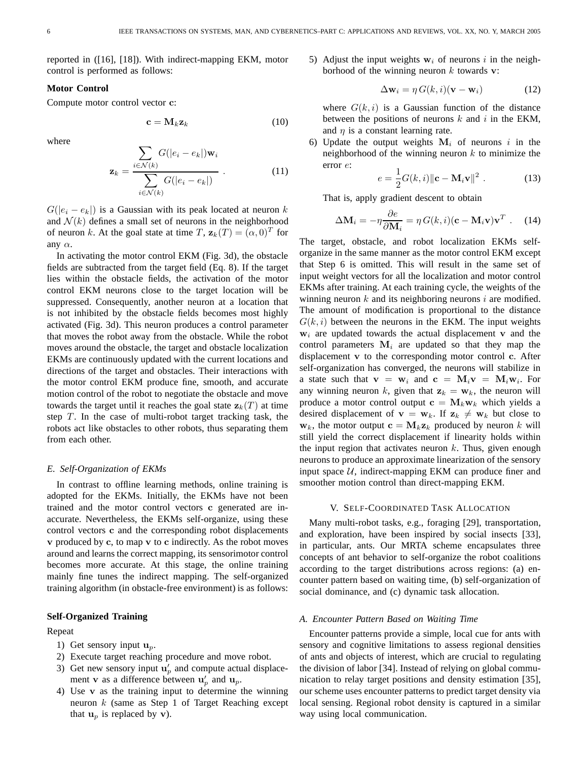reported in ([16], [18]). With indirect-mapping EKM, motor control is performed as follows:

# **Motor Control**

Compute motor control vector c:

$$
\mathbf{c} = \mathbf{M}_k \mathbf{z}_k \tag{10}
$$

where

$$
\mathbf{z}_{k} = \frac{\sum_{i \in \mathcal{N}(k)} G(|e_{i} - e_{k}|) \mathbf{w}_{i}}{\sum_{i \in \mathcal{N}(k)} G(|e_{i} - e_{k}|)}.
$$
(11)

 $G(|e_i - e_k|)$  is a Gaussian with its peak located at neuron k and  $\mathcal{N}(k)$  defines a small set of neurons in the neighborhood of neuron k. At the goal state at time T,  $z_k(T) = (\alpha, 0)^T$  for any  $\alpha$ .

In activating the motor control EKM (Fig. 3d), the obstacle fields are subtracted from the target field (Eq. 8). If the target lies within the obstacle fields, the activation of the motor control EKM neurons close to the target location will be suppressed. Consequently, another neuron at a location that is not inhibited by the obstacle fields becomes most highly activated (Fig. 3d). This neuron produces a control parameter that moves the robot away from the obstacle. While the robot moves around the obstacle, the target and obstacle localization EKMs are continuously updated with the current locations and directions of the target and obstacles. Their interactions with the motor control EKM produce fine, smooth, and accurate motion control of the robot to negotiate the obstacle and move towards the target until it reaches the goal state  $z_k(T)$  at time step  $T$ . In the case of multi-robot target tracking task, the robots act like obstacles to other robots, thus separating them from each other.

## *E. Self-Organization of EKMs*

In contrast to offline learning methods, online training is adopted for the EKMs. Initially, the EKMs have not been trained and the motor control vectors c generated are inaccurate. Nevertheless, the EKMs self-organize, using these control vectors c and the corresponding robot displacements v produced by c, to map v to c indirectly. As the robot moves around and learns the correct mapping, its sensorimotor control becomes more accurate. At this stage, the online training mainly fine tunes the indirect mapping. The self-organized training algorithm (in obstacle-free environment) is as follows:

## **Self-Organized Training**

#### Repeat

- 1) Get sensory input  $\mathbf{u}_p$ .
- 2) Execute target reaching procedure and move robot.
- 3) Get new sensory input  $\mathbf{u}'_p$  and compute actual displacement **v** as a difference between  $\mathbf{u}'_p$  and  $\mathbf{u}_p$ .
- 4) Use v as the training input to determine the winning neuron  $k$  (same as Step 1 of Target Reaching except that  $\mathbf{u}_n$  is replaced by v).

5) Adjust the input weights  $w_i$  of neurons i in the neighborhood of the winning neuron  $k$  towards v:

$$
\Delta \mathbf{w}_i = \eta \, G(k, i)(\mathbf{v} - \mathbf{w}_i) \tag{12}
$$

where  $G(k, i)$  is a Gaussian function of the distance between the positions of neurons  $k$  and  $i$  in the EKM, and  $\eta$  is a constant learning rate.

6) Update the output weights  $M_i$  of neurons i in the neighborhood of the winning neuron  $k$  to minimize the error e:

$$
e = \frac{1}{2}G(k,i)\Vert \mathbf{c} - \mathbf{M}_i \mathbf{v} \Vert^2.
$$
 (13)

That is, apply gradient descent to obtain

$$
\Delta \mathbf{M}_i = -\eta \frac{\partial e}{\partial \mathbf{M}_i} = \eta G(k, i)(\mathbf{c} - \mathbf{M}_i \mathbf{v}) \mathbf{v}^T
$$
 (14)

The target, obstacle, and robot localization EKMs selforganize in the same manner as the motor control EKM except that Step 6 is omitted. This will result in the same set of input weight vectors for all the localization and motor control EKMs after training. At each training cycle, the weights of the winning neuron  $k$  and its neighboring neurons  $i$  are modified. The amount of modification is proportional to the distance  $G(k, i)$  between the neurons in the EKM. The input weights  $w<sub>i</sub>$  are updated towards the actual displacement v and the control parameters  $M_i$  are updated so that they map the displacement v to the corresponding motor control c. After self-organization has converged, the neurons will stabilize in a state such that  $\mathbf{v} = \mathbf{w}_i$  and  $\mathbf{c} = \mathbf{M}_i \mathbf{v} = \mathbf{M}_i \mathbf{w}_i$ . For any winning neuron k, given that  $z_k = w_k$ , the neuron will produce a motor control output  $c = M_k w_k$  which yields a desired displacement of  $\mathbf{v} = \mathbf{w}_k$ . If  $\mathbf{z}_k \neq \mathbf{w}_k$  but close to  $\mathbf{w}_k$ , the motor output  $\mathbf{c} = \mathbf{M}_k \mathbf{z}_k$  produced by neuron k will still yield the correct displacement if linearity holds within the input region that activates neuron  $k$ . Thus, given enough neurons to produce an approximate linearization of the sensory input space  $U$ , indirect-mapping EKM can produce finer and smoother motion control than direct-mapping EKM.

## V. SELF-COORDINATED TASK ALLOCATION

Many multi-robot tasks, e.g., foraging [29], transportation, and exploration, have been inspired by social insects [33], in particular, ants. Our MRTA scheme encapsulates three concepts of ant behavior to self-organize the robot coalitions according to the target distributions across regions: (a) encounter pattern based on waiting time, (b) self-organization of social dominance, and (c) dynamic task allocation.

## *A. Encounter Pattern Based on Waiting Time*

Encounter patterns provide a simple, local cue for ants with sensory and cognitive limitations to assess regional densities of ants and objects of interest, which are crucial to regulating the division of labor [34]. Instead of relying on global communication to relay target positions and density estimation [35], our scheme uses encounter patterns to predict target density via local sensing. Regional robot density is captured in a similar way using local communication.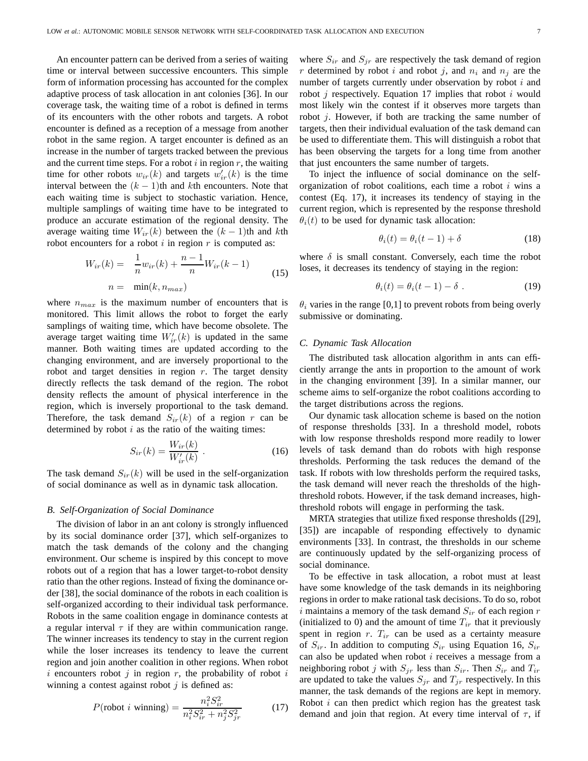An encounter pattern can be derived from a series of waiting time or interval between successive encounters. This simple form of information processing has accounted for the complex adaptive process of task allocation in ant colonies [36]. In our coverage task, the waiting time of a robot is defined in terms of its encounters with the other robots and targets. A robot encounter is defined as a reception of a message from another robot in the same region. A target encounter is defined as an increase in the number of targets tracked between the previous and the current time steps. For a robot  $i$  in region  $r$ , the waiting time for other robots  $w_{ir}(k)$  and targets  $w'_{ir}(k)$  is the time interval between the  $(k - 1)$ th and kth encounters. Note that each waiting time is subject to stochastic variation. Hence, multiple samplings of waiting time have to be integrated to produce an accurate estimation of the regional density. The average waiting time  $W_{ir}(k)$  between the  $(k - 1)$ th and kth robot encounters for a robot  $i$  in region  $r$  is computed as:

$$
W_{ir}(k) = \frac{1}{n} w_{ir}(k) + \frac{n-1}{n} W_{ir}(k-1)
$$
  

$$
n = \min(k, n_{max})
$$
 (15)

where  $n_{max}$  is the maximum number of encounters that is monitored. This limit allows the robot to forget the early samplings of waiting time, which have become obsolete. The average target waiting time  $W'_{ir}(k)$  is updated in the same manner. Both waiting times are updated according to the changing environment, and are inversely proportional to the robot and target densities in region  $r$ . The target density directly reflects the task demand of the region. The robot density reflects the amount of physical interference in the region, which is inversely proportional to the task demand. Therefore, the task demand  $S_{ir}(k)$  of a region r can be determined by robot  $i$  as the ratio of the waiting times:

$$
S_{ir}(k) = \frac{W_{ir}(k)}{W'_{ir}(k)} .
$$
 (16)

The task demand  $S_{ir}(k)$  will be used in the self-organization of social dominance as well as in dynamic task allocation.

#### *B. Self-Organization of Social Dominance*

The division of labor in an ant colony is strongly influenced by its social dominance order [37], which self-organizes to match the task demands of the colony and the changing environment. Our scheme is inspired by this concept to move robots out of a region that has a lower target-to-robot density ratio than the other regions. Instead of fixing the dominance order [38], the social dominance of the robots in each coalition is self-organized according to their individual task performance. Robots in the same coalition engage in dominance contests at a regular interval  $\tau$  if they are within communication range. The winner increases its tendency to stay in the current region while the loser increases its tendency to leave the current region and join another coalition in other regions. When robot i encounters robot j in region r, the probability of robot i winning a contest against robot  $j$  is defined as:

$$
P(\text{robot } i \text{ winning}) = \frac{n_i^2 S_{ir}^2}{n_i^2 S_{ir}^2 + n_j^2 S_{jr}^2}
$$
 (17)

where  $S_{ir}$  and  $S_{ir}$  are respectively the task demand of region r determined by robot i and robot j, and  $n_i$  and  $n_j$  are the number of targets currently under observation by robot  $i$  and robot  $j$  respectively. Equation 17 implies that robot  $i$  would most likely win the contest if it observes more targets than robot j. However, if both are tracking the same number of targets, then their individual evaluation of the task demand can be used to differentiate them. This will distinguish a robot that has been observing the targets for a long time from another that just encounters the same number of targets.

To inject the influence of social dominance on the selforganization of robot coalitions, each time a robot  $i$  wins a contest (Eq. 17), it increases its tendency of staying in the current region, which is represented by the response threshold  $\theta_i(t)$  to be used for dynamic task allocation:

$$
\theta_i(t) = \theta_i(t-1) + \delta \tag{18}
$$

where  $\delta$  is small constant. Conversely, each time the robot loses, it decreases its tendency of staying in the region:

$$
\theta_i(t) = \theta_i(t-1) - \delta \tag{19}
$$

 $\theta_i$  varies in the range [0,1] to prevent robots from being overly submissive or dominating.

#### *C. Dynamic Task Allocation*

The distributed task allocation algorithm in ants can efficiently arrange the ants in proportion to the amount of work in the changing environment [39]. In a similar manner, our scheme aims to self-organize the robot coalitions according to the target distributions across the regions.

Our dynamic task allocation scheme is based on the notion of response thresholds [33]. In a threshold model, robots with low response thresholds respond more readily to lower levels of task demand than do robots with high response thresholds. Performing the task reduces the demand of the task. If robots with low thresholds perform the required tasks, the task demand will never reach the thresholds of the highthreshold robots. However, if the task demand increases, highthreshold robots will engage in performing the task.

MRTA strategies that utilize fixed response thresholds ([29], [35]) are incapable of responding effectively to dynamic environments [33]. In contrast, the thresholds in our scheme are continuously updated by the self-organizing process of social dominance.

To be effective in task allocation, a robot must at least have some knowledge of the task demands in its neighboring regions in order to make rational task decisions. To do so, robot i maintains a memory of the task demand  $S_{ir}$  of each region r (initialized to 0) and the amount of time  $T_{ir}$  that it previously spent in region  $r$ .  $T_{ir}$  can be used as a certainty measure of  $S_{ir}$ . In addition to computing  $S_{ir}$  using Equation 16,  $S_{ir}$ can also be updated when robot  $i$  receives a message from a neighboring robot j with  $S_{jr}$  less than  $S_{ir}$ . Then  $S_{ir}$  and  $T_{ir}$ are updated to take the values  $S_{jr}$  and  $T_{jr}$  respectively. In this manner, the task demands of the regions are kept in memory. Robot  $i$  can then predict which region has the greatest task demand and join that region. At every time interval of  $\tau$ , if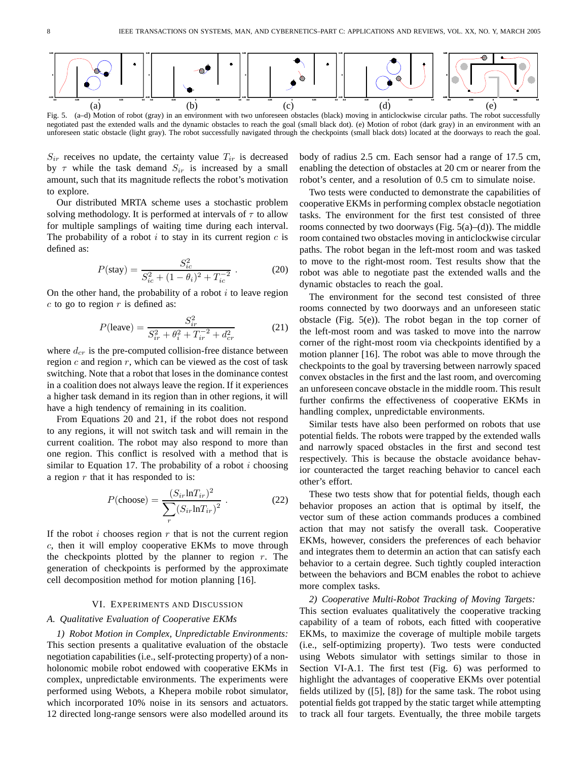

Fig. 5. (a–d) Motion of robot (gray) in an environment with two unforeseen obstacles (black) moving in anticlockwise circular paths. The robot successfully negotiated past the extended walls and the dynamic obstacles to reach the goal (small black dot). (e) Motion of robot (dark gray) in an environment with an unforeseen static obstacle (light gray). The robot successfully navigated through the checkpoints (small black dots) located at the doorways to reach the goal.

 $S_{ir}$  receives no update, the certainty value  $T_{ir}$  is decreased by  $\tau$  while the task demand  $S_{ir}$  is increased by a small amount, such that its magnitude reflects the robot's motivation to explore.

Our distributed MRTA scheme uses a stochastic problem solving methodology. It is performed at intervals of  $\tau$  to allow for multiple samplings of waiting time during each interval. The probability of a robot  $i$  to stay in its current region  $c$  is defined as:

$$
P(\text{stay}) = \frac{S_{ic}^2}{S_{ic}^2 + (1 - \theta_i)^2 + T_{ic}^{-2}} \tag{20}
$$

On the other hand, the probability of a robot  $i$  to leave region  $c$  to go to region  $r$  is defined as:

$$
P(\text{leave}) = \frac{S_{ir}^2}{S_{ir}^2 + \theta_i^2 + T_{ir}^{-2} + d_{cr}^2}
$$
(21)

where  $d_{cr}$  is the pre-computed collision-free distance between region  $c$  and region  $r$ , which can be viewed as the cost of task switching. Note that a robot that loses in the dominance contest in a coalition does not always leave the region. If it experiences a higher task demand in its region than in other regions, it will have a high tendency of remaining in its coalition.

From Equations 20 and 21, if the robot does not respond to any regions, it will not switch task and will remain in the current coalition. The robot may also respond to more than one region. This conflict is resolved with a method that is similar to Equation 17. The probability of a robot  $i$  choosing a region  $r$  that it has responded to is:

$$
P(\text{choose}) = \frac{(S_{ir} \ln T_{ir})^2}{\sum_{r} (S_{ir} \ln T_{ir})^2}.
$$
 (22)

If the robot  $i$  chooses region  $r$  that is not the current region c, then it will employ cooperative EKMs to move through the checkpoints plotted by the planner to region  $r$ . The generation of checkpoints is performed by the approximate cell decomposition method for motion planning [16].

### VI. EXPERIMENTS AND DISCUSSION

## *A. Qualitative Evaluation of Cooperative EKMs*

*1) Robot Motion in Complex, Unpredictable Environments:* This section presents a qualitative evaluation of the obstacle negotiation capabilities (i.e., self-protecting property) of a nonholonomic mobile robot endowed with cooperative EKMs in complex, unpredictable environments. The experiments were performed using Webots, a Khepera mobile robot simulator, which incorporated 10% noise in its sensors and actuators. 12 directed long-range sensors were also modelled around its body of radius 2.5 cm. Each sensor had a range of 17.5 cm, enabling the detection of obstacles at 20 cm or nearer from the robot's center, and a resolution of 0.5 cm to simulate noise.

Two tests were conducted to demonstrate the capabilities of cooperative EKMs in performing complex obstacle negotiation tasks. The environment for the first test consisted of three rooms connected by two doorways (Fig.  $5(a)$ –(d)). The middle room contained two obstacles moving in anticlockwise circular paths. The robot began in the left-most room and was tasked to move to the right-most room. Test results show that the robot was able to negotiate past the extended walls and the dynamic obstacles to reach the goal.

The environment for the second test consisted of three rooms connected by two doorways and an unforeseen static obstacle (Fig. 5(e)). The robot began in the top corner of the left-most room and was tasked to move into the narrow corner of the right-most room via checkpoints identified by a motion planner [16]. The robot was able to move through the checkpoints to the goal by traversing between narrowly spaced convex obstacles in the first and the last room, and overcoming an unforeseen concave obstacle in the middle room. This result further confirms the effectiveness of cooperative EKMs in handling complex, unpredictable environments.

Similar tests have also been performed on robots that use potential fields. The robots were trapped by the extended walls and narrowly spaced obstacles in the first and second test respectively. This is because the obstacle avoidance behavior counteracted the target reaching behavior to cancel each other's effort.

These two tests show that for potential fields, though each behavior proposes an action that is optimal by itself, the vector sum of these action commands produces a combined action that may not satisfy the overall task. Cooperative EKMs, however, considers the preferences of each behavior and integrates them to determin an action that can satisfy each behavior to a certain degree. Such tightly coupled interaction between the behaviors and BCM enables the robot to achieve more complex tasks.

*2) Cooperative Multi-Robot Tracking of Moving Targets:*

This section evaluates qualitatively the cooperative tracking capability of a team of robots, each fitted with cooperative EKMs, to maximize the coverage of multiple mobile targets (i.e., self-optimizing property). Two tests were conducted using Webots simulator with settings similar to those in Section VI-A.1. The first test (Fig. 6) was performed to highlight the advantages of cooperative EKMs over potential fields utilized by ([5], [8]) for the same task. The robot using potential fields got trapped by the static target while attempting to track all four targets. Eventually, the three mobile targets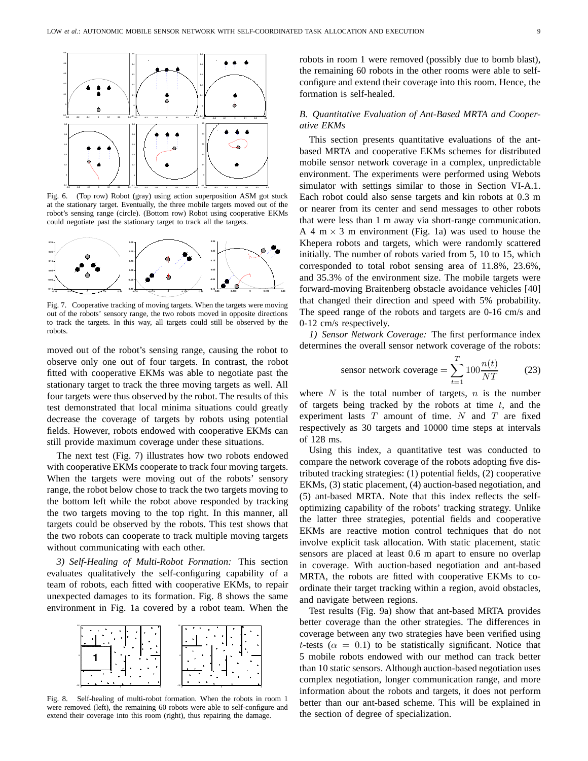

Fig. 6. (Top row) Robot (gray) using action superposition ASM got stuck at the stationary target. Eventually, the three mobile targets moved out of the robot's sensing range (circle). (Bottom row) Robot using cooperative EKMs could negotiate past the stationary target to track all the targets.



Fig. 7. Cooperative tracking of moving targets. When the targets were moving out of the robots' sensory range, the two robots moved in opposite directions to track the targets. In this way, all targets could still be observed by the robots.

moved out of the robot's sensing range, causing the robot to observe only one out of four targets. In contrast, the robot fitted with cooperative EKMs was able to negotiate past the stationary target to track the three moving targets as well. All four targets were thus observed by the robot. The results of this test demonstrated that local minima situations could greatly decrease the coverage of targets by robots using potential fields. However, robots endowed with cooperative EKMs can still provide maximum coverage under these situations.

The next test (Fig. 7) illustrates how two robots endowed with cooperative EKMs cooperate to track four moving targets. When the targets were moving out of the robots' sensory range, the robot below chose to track the two targets moving to the bottom left while the robot above responded by tracking the two targets moving to the top right. In this manner, all targets could be observed by the robots. This test shows that the two robots can cooperate to track multiple moving targets without communicating with each other.

*3) Self-Healing of Multi-Robot Formation:* This section evaluates qualitatively the self-configuring capability of a team of robots, each fitted with cooperative EKMs, to repair unexpected damages to its formation. Fig. 8 shows the same environment in Fig. 1a covered by a robot team. When the



Fig. 8. Self-healing of multi-robot formation. When the robots in room 1 were removed (left), the remaining 60 robots were able to self-configure and extend their coverage into this room (right), thus repairing the damage.

robots in room 1 were removed (possibly due to bomb blast), the remaining 60 robots in the other rooms were able to selfconfigure and extend their coverage into this room. Hence, the formation is self-healed.

# *B. Quantitative Evaluation of Ant-Based MRTA and Cooperative EKMs*

This section presents quantitative evaluations of the antbased MRTA and cooperative EKMs schemes for distributed mobile sensor network coverage in a complex, unpredictable environment. The experiments were performed using Webots simulator with settings similar to those in Section VI-A.1. Each robot could also sense targets and kin robots at 0.3 m or nearer from its center and send messages to other robots that were less than 1 m away via short-range communication. A 4 m  $\times$  3 m environment (Fig. 1a) was used to house the Khepera robots and targets, which were randomly scattered initially. The number of robots varied from 5, 10 to 15, which corresponded to total robot sensing area of 11.8%, 23.6%, and 35.3% of the environment size. The mobile targets were forward-moving Braitenberg obstacle avoidance vehicles [40] that changed their direction and speed with 5% probability. The speed range of the robots and targets are 0-16 cm/s and 0-12 cm/s respectively.

*1) Sensor Network Coverage:* The first performance index determines the overall sensor network coverage of the robots:

$$
sensor network coverage = \sum_{t=1}^{T} 100 \frac{n(t)}{NT}
$$
 (23)

where  $N$  is the total number of targets,  $n$  is the number of targets being tracked by the robots at time  $t$ , and the experiment lasts  $T$  amount of time.  $N$  and  $T$  are fixed respectively as 30 targets and 10000 time steps at intervals of 128 ms.

Using this index, a quantitative test was conducted to compare the network coverage of the robots adopting five distributed tracking strategies: (1) potential fields, (2) cooperative EKMs, (3) static placement, (4) auction-based negotiation, and (5) ant-based MRTA. Note that this index reflects the selfoptimizing capability of the robots' tracking strategy. Unlike the latter three strategies, potential fields and cooperative EKMs are reactive motion control techniques that do not involve explicit task allocation. With static placement, static sensors are placed at least 0.6 m apart to ensure no overlap in coverage. With auction-based negotiation and ant-based MRTA, the robots are fitted with cooperative EKMs to coordinate their target tracking within a region, avoid obstacles, and navigate between regions.

Test results (Fig. 9a) show that ant-based MRTA provides better coverage than the other strategies. The differences in coverage between any two strategies have been verified using t-tests ( $\alpha = 0.1$ ) to be statistically significant. Notice that 5 mobile robots endowed with our method can track better than 10 static sensors. Although auction-based negotiation uses complex negotiation, longer communication range, and more information about the robots and targets, it does not perform better than our ant-based scheme. This will be explained in the section of degree of specialization.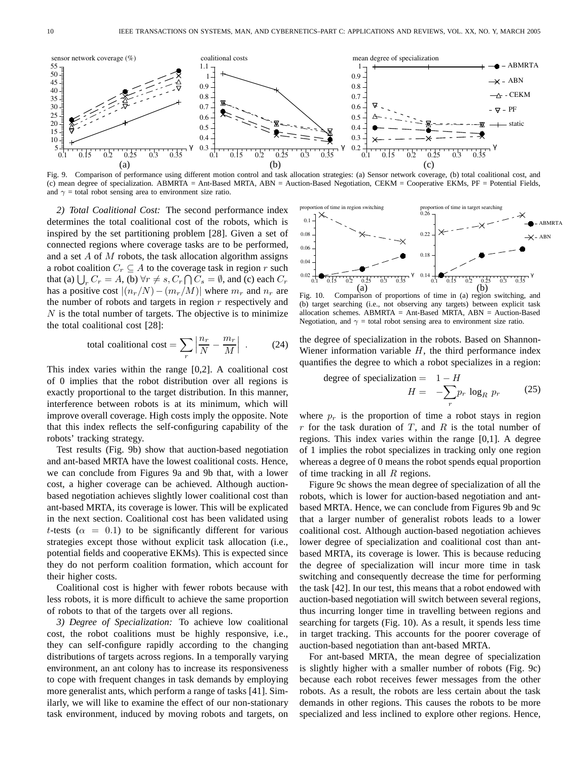

Fig. 9. Comparison of performance using different motion control and task allocation strategies: (a) Sensor network coverage, (b) total coalitional cost, and (c) mean degree of specialization. ABMRTA = Ant-Based MRTA, ABN = Auction-Based Negotiation, CEKM = Cooperative EKMs, PF = Potential Fields, and  $\gamma$  = total robot sensing area to environment size ratio.

*2) Total Coalitional Cost:* The second performance index determines the total coalitional cost of the robots, which is inspired by the set partitioning problem [28]. Given a set of connected regions where coverage tasks are to be performed, and a set A of M robots, the task allocation algorithm assigns a robot coalition  $C_r \subseteq A$  to the coverage task in region r such that (a)  $\bigcup_r C_r = A$ , (b)  $\forall r \neq s$ ,  $C_r \bigcap C_s = \emptyset$ , and (c) each  $C_r$ has a positive cost  $|(n_r/N)-(m_r/M)|$  where  $m_r$  and  $n_r$  are the number of robots and targets in region  $r$  respectively and  $N$  is the total number of targets. The objective is to minimize the total coalitional cost [28]:

total conditional cost = 
$$
\sum_{r} \left| \frac{n_r}{N} - \frac{m_r}{M} \right| .
$$
 (24)

This index varies within the range [0,2]. A coalitional cost of 0 implies that the robot distribution over all regions is exactly proportional to the target distribution. In this manner, interference between robots is at its minimum, which will improve overall coverage. High costs imply the opposite. Note that this index reflects the self-configuring capability of the robots' tracking strategy.

Test results (Fig. 9b) show that auction-based negotiation and ant-based MRTA have the lowest coalitional costs. Hence, we can conclude from Figures 9a and 9b that, with a lower cost, a higher coverage can be achieved. Although auctionbased negotiation achieves slightly lower coalitional cost than ant-based MRTA, its coverage is lower. This will be explicated in the next section. Coalitional cost has been validated using t-tests ( $\alpha = 0.1$ ) to be significantly different for various strategies except those without explicit task allocation (i.e., potential fields and cooperative EKMs). This is expected since they do not perform coalition formation, which account for their higher costs.

Coalitional cost is higher with fewer robots because with less robots, it is more difficult to achieve the same proportion of robots to that of the targets over all regions.

*3) Degree of Specialization:* To achieve low coalitional cost, the robot coalitions must be highly responsive, i.e., they can self-configure rapidly according to the changing distributions of targets across regions. In a temporally varying environment, an ant colony has to increase its responsiveness to cope with frequent changes in task demands by employing more generalist ants, which perform a range of tasks [41]. Similarly, we will like to examine the effect of our non-stationary task environment, induced by moving robots and targets, on



(b) target searching (i.e., not observing any targets) between explicit task allocation schemes.  $ABMRTA = Ant-Based MRTA$ ,  $ABN = Auction-Based$ Negotiation, and  $\gamma$  = total robot sensing area to environment size ratio.

the degree of specialization in the robots. Based on Shannon-Wiener information variable  $H$ , the third performance index quantifies the degree to which a robot specializes in a region:

degree of specialization = 
$$
1 - H
$$
  
\n
$$
H = -\sum_{r} p_r \log_R p_r
$$
\n(25)

where  $p_r$  is the proportion of time a robot stays in region  $r$  for the task duration of  $T$ , and  $R$  is the total number of regions. This index varies within the range [0,1]. A degree of 1 implies the robot specializes in tracking only one region whereas a degree of 0 means the robot spends equal proportion of time tracking in all  $R$  regions.

Figure 9c shows the mean degree of specialization of all the robots, which is lower for auction-based negotiation and antbased MRTA. Hence, we can conclude from Figures 9b and 9c that a larger number of generalist robots leads to a lower coalitional cost. Although auction-based negotiation achieves lower degree of specialization and coalitional cost than antbased MRTA, its coverage is lower. This is because reducing the degree of specialization will incur more time in task switching and consequently decrease the time for performing the task [42]. In our test, this means that a robot endowed with auction-based negotiation will switch between several regions, thus incurring longer time in travelling between regions and searching for targets (Fig. 10). As a result, it spends less time in target tracking. This accounts for the poorer coverage of auction-based negotiation than ant-based MRTA.

For ant-based MRTA, the mean degree of specialization is slightly higher with a smaller number of robots (Fig. 9c) because each robot receives fewer messages from the other robots. As a result, the robots are less certain about the task demands in other regions. This causes the robots to be more specialized and less inclined to explore other regions. Hence,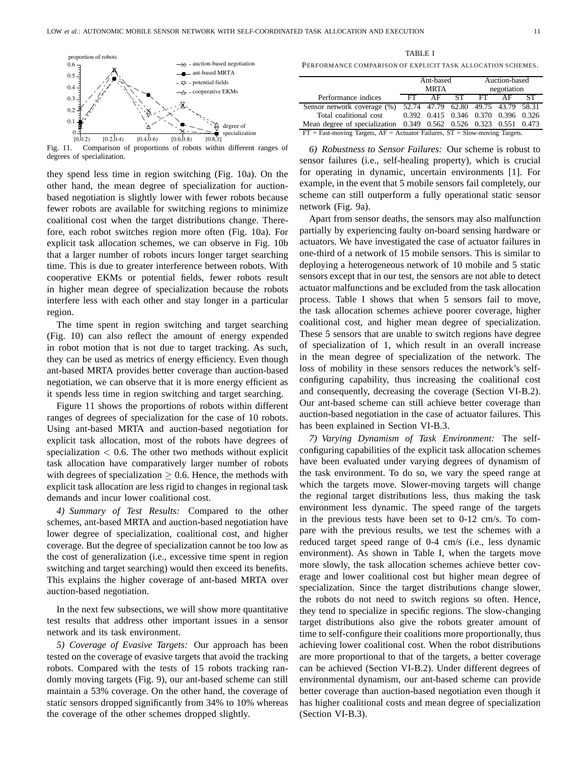

Fig. 11. Comparison of proportions of robots within different ranges of degrees of specialization.

they spend less time in region switching (Fig. 10a). On the other hand, the mean degree of specialization for auctionbased negotiation is slightly lower with fewer robots because fewer robots are available for switching regions to minimize coalitional cost when the target distributions change. Therefore, each robot switches region more often (Fig. 10a). For explicit task allocation schemes, we can observe in Fig. 10b that a larger number of robots incurs longer target searching time. This is due to greater interference between robots. With cooperative EKMs or potential fields, fewer robots result in higher mean degree of specialization because the robots interfere less with each other and stay longer in a particular region.

The time spent in region switching and target searching (Fig. 10) can also reflect the amount of energy expended in robot motion that is not due to target tracking. As such, they can be used as metrics of energy efficiency. Even though ant-based MRTA provides better coverage than auction-based negotiation, we can observe that it is more energy efficient as it spends less time in region switching and target searching.

Figure 11 shows the proportions of robots within different ranges of degrees of specialization for the case of 10 robots. Using ant-based MRTA and auction-based negotiation for explicit task allocation, most of the robots have degrees of specialization  $< 0.6$ . The other two methods without explicit task allocation have comparatively larger number of robots with degrees of specialization  $\geq 0.6$ . Hence, the methods with explicit task allocation are less rigid to changes in regional task demands and incur lower coalitional cost.

*4) Summary of Test Results:* Compared to the other schemes, ant-based MRTA and auction-based negotiation have lower degree of specialization, coalitional cost, and higher coverage. But the degree of specialization cannot be too low as the cost of generalization (i.e., excessive time spent in region switching and target searching) would then exceed its benefits. This explains the higher coverage of ant-based MRTA over auction-based negotiation.

In the next few subsections, we will show more quantitative test results that address other important issues in a sensor network and its task environment.

*5) Coverage of Evasive Targets:* Our approach has been tested on the coverage of evasive targets that avoid the tracking robots. Compared with the tests of 15 robots tracking randomly moving targets (Fig. 9), our ant-based scheme can still maintain a 53% coverage. On the other hand, the coverage of static sensors dropped significantly from 34% to 10% whereas the coverage of the other schemes dropped slightly.

TABLE I

PERFORMANCE COMPARISON OF EXPLICIT TASK ALLOCATION SCHEMES.

|                                                                                   | Ant-based   |                                     |       | Auction-based |    |  |
|-----------------------------------------------------------------------------------|-------------|-------------------------------------|-------|---------------|----|--|
|                                                                                   | <b>MRTA</b> |                                     |       | negotiation   |    |  |
| Performance indices                                                               | FT.         |                                     | AF ST | FT.           | AF |  |
| Sensor network coverage (%)                                                       |             | 52.74 47.79 62.80 49.75 43.79 58.31 |       |               |    |  |
| Total coalitional cost                                                            |             | 0.392 0.415 0.346 0.370 0.396 0.326 |       |               |    |  |
| Mean degree of specialization 0.349 0.562 0.526 0.323 0.551 0.473                 |             |                                     |       |               |    |  |
| $FT$ = Fast-moving Targets, $AF$ = Actuator Failures, $ST$ = Slow-moving Targets. |             |                                     |       |               |    |  |

*6) Robustness to Sensor Failures:* Our scheme is robust to sensor failures (i.e., self-healing property), which is crucial for operating in dynamic, uncertain environments [1]. For example, in the event that 5 mobile sensors fail completely, our scheme can still outperform a fully operational static sensor network (Fig. 9a).

Apart from sensor deaths, the sensors may also malfunction partially by experiencing faulty on-board sensing hardware or actuators. We have investigated the case of actuator failures in one-third of a network of 15 mobile sensors. This is similar to deploying a heterogeneous network of 10 mobile and 5 static sensors except that in our test, the sensors are not able to detect actuator malfunctions and be excluded from the task allocation process. Table I shows that when 5 sensors fail to move, the task allocation schemes achieve poorer coverage, higher coalitional cost, and higher mean degree of specialization. These 5 sensors that are unable to switch regions have degree of specialization of 1, which result in an overall increase in the mean degree of specialization of the network. The loss of mobility in these sensors reduces the network's selfconfiguring capability, thus increasing the coalitional cost and consequently, decreasing the coverage (Section VI-B.2). Our ant-based scheme can still achieve better coverage than auction-based negotiation in the case of actuator failures. This has been explained in Section VI-B.3.

*7) Varying Dynamism of Task Environment:* The selfconfiguring capabilities of the explicit task allocation schemes have been evaluated under varying degrees of dynamism of the task environment. To do so, we vary the speed range at which the targets move. Slower-moving targets will change the regional target distributions less, thus making the task environment less dynamic. The speed range of the targets in the previous tests have been set to 0-12 cm/s. To compare with the previous results, we test the schemes with a reduced target speed range of 0-4 cm/s (i.e., less dynamic environment). As shown in Table I, when the targets move more slowly, the task allocation schemes achieve better coverage and lower coalitional cost but higher mean degree of specialization. Since the target distributions change slower, the robots do not need to switch regions so often. Hence, they tend to specialize in specific regions. The slow-changing target distributions also give the robots greater amount of time to self-configure their coalitions more proportionally, thus achieving lower coalitional cost. When the robot distributions are more proportional to that of the targets, a better coverage can be achieved (Section VI-B.2). Under different degrees of environmental dynamism, our ant-based scheme can provide better coverage than auction-based negotiation even though it has higher coalitional costs and mean degree of specialization (Section VI-B.3).